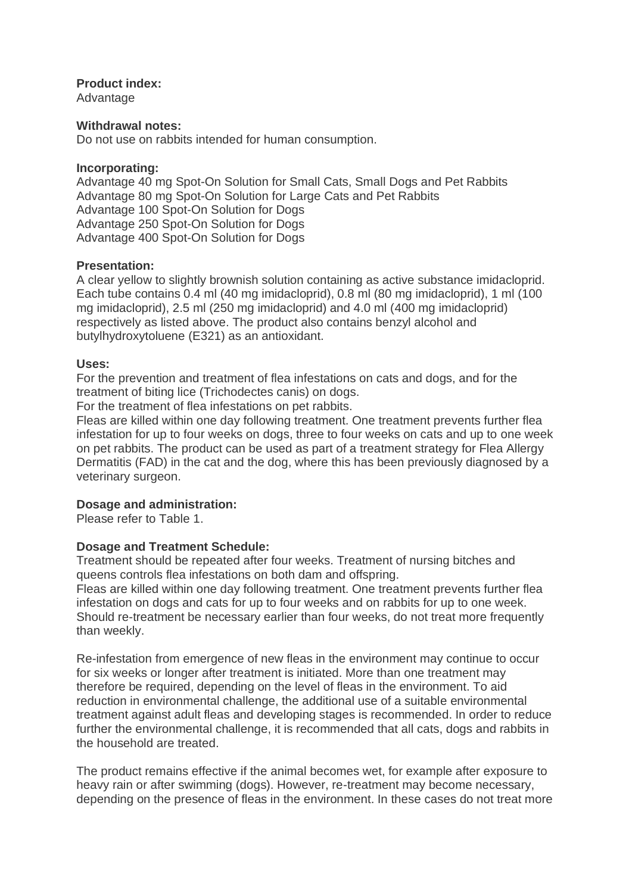### **Product index:**

Advantage

## **Withdrawal notes:**

Do not use on rabbits intended for human consumption.

#### **Incorporating:**

Advantage 40 mg Spot-On Solution for Small Cats, Small Dogs and Pet Rabbits Advantage 80 mg Spot-On Solution for Large Cats and Pet Rabbits Advantage 100 Spot-On Solution for Dogs Advantage 250 Spot-On Solution for Dogs Advantage 400 Spot-On Solution for Dogs

## **Presentation:**

A clear yellow to slightly brownish solution containing as active substance imidacloprid. Each tube contains 0.4 ml (40 mg imidacloprid), 0.8 ml (80 mg imidacloprid), 1 ml (100 mg imidacloprid), 2.5 ml (250 mg imidacloprid) and 4.0 ml (400 mg imidacloprid) respectively as listed above. The product also contains benzyl alcohol and butylhydroxytoluene (E321) as an antioxidant.

## **Uses:**

For the prevention and treatment of flea infestations on cats and dogs, and for the treatment of biting lice (Trichodectes canis) on dogs.

For the treatment of flea infestations on pet rabbits.

Fleas are killed within one day following treatment. One treatment prevents further flea infestation for up to four weeks on dogs, three to four weeks on cats and up to one week on pet rabbits. The product can be used as part of a treatment strategy for Flea Allergy Dermatitis (FAD) in the cat and the dog, where this has been previously diagnosed by a veterinary surgeon.

# **Dosage and administration:**

Please refer to Table 1.

## **Dosage and Treatment Schedule:**

Treatment should be repeated after four weeks. Treatment of nursing bitches and queens controls flea infestations on both dam and offspring.

Fleas are killed within one day following treatment. One treatment prevents further flea infestation on dogs and cats for up to four weeks and on rabbits for up to one week. Should re-treatment be necessary earlier than four weeks, do not treat more frequently than weekly.

Re-infestation from emergence of new fleas in the environment may continue to occur for six weeks or longer after treatment is initiated. More than one treatment may therefore be required, depending on the level of fleas in the environment. To aid reduction in environmental challenge, the additional use of a suitable environmental treatment against adult fleas and developing stages is recommended. In order to reduce further the environmental challenge, it is recommended that all cats, dogs and rabbits in the household are treated.

The product remains effective if the animal becomes wet, for example after exposure to heavy rain or after swimming (dogs). However, re-treatment may become necessary, depending on the presence of fleas in the environment. In these cases do not treat more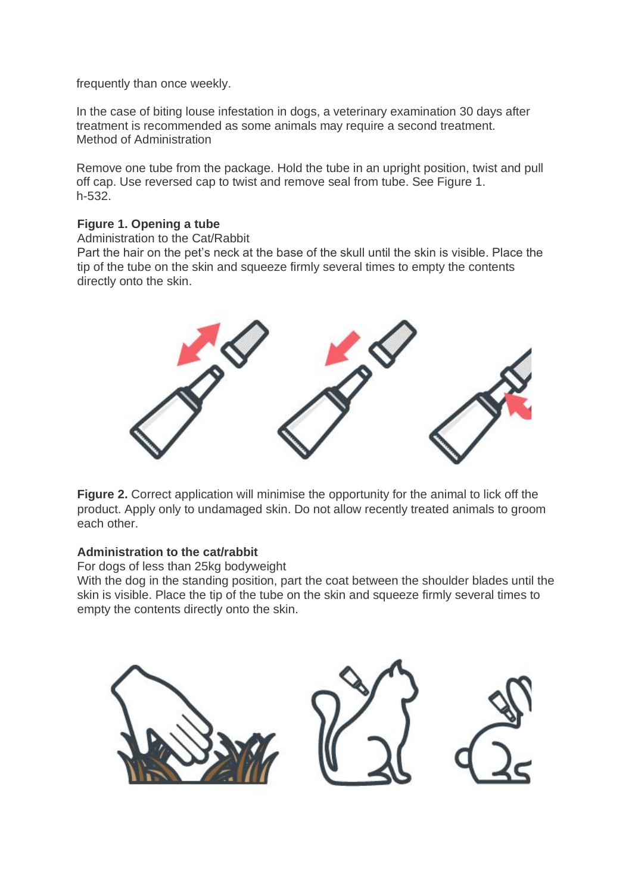frequently than once weekly.

In the case of biting louse infestation in dogs, a veterinary examination 30 days after treatment is recommended as some animals may require a second treatment. Method of Administration

Remove one tube from the package. Hold the tube in an upright position, twist and pull off cap. Use reversed cap to twist and remove seal from tube. See Figure 1. h-532.

## **Figure 1. Opening a tube**

Administration to the Cat/Rabbit

Part the hair on the pet's neck at the base of the skull until the skin is visible. Place the tip of the tube on the skin and squeeze firmly several times to empty the contents directly onto the skin.



**Figure 2.** Correct application will minimise the opportunity for the animal to lick off the product. Apply only to undamaged skin. Do not allow recently treated animals to groom each other.

## **Administration to the cat/rabbit**

For dogs of less than 25kg bodyweight

With the dog in the standing position, part the coat between the shoulder blades until the skin is visible. Place the tip of the tube on the skin and squeeze firmly several times to empty the contents directly onto the skin.

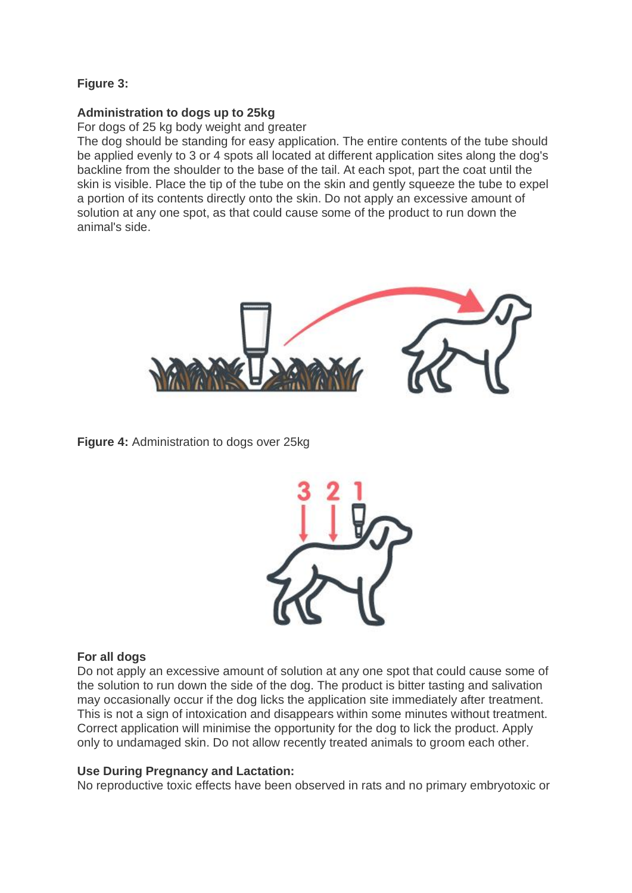# **Figure 3:**

# **Administration to dogs up to 25kg**

For dogs of 25 kg body weight and greater

The dog should be standing for easy application. The entire contents of the tube should be applied evenly to 3 or 4 spots all located at different application sites along the dog's backline from the shoulder to the base of the tail. At each spot, part the coat until the skin is visible. Place the tip of the tube on the skin and gently squeeze the tube to expel a portion of its contents directly onto the skin. Do not apply an excessive amount of solution at any one spot, as that could cause some of the product to run down the animal's side.



**Figure 4:** Administration to dogs over 25kg



## **For all dogs**

Do not apply an excessive amount of solution at any one spot that could cause some of the solution to run down the side of the dog. The product is bitter tasting and salivation may occasionally occur if the dog licks the application site immediately after treatment. This is not a sign of intoxication and disappears within some minutes without treatment. Correct application will minimise the opportunity for the dog to lick the product. Apply only to undamaged skin. Do not allow recently treated animals to groom each other.

## **Use During Pregnancy and Lactation:**

No reproductive toxic effects have been observed in rats and no primary embryotoxic or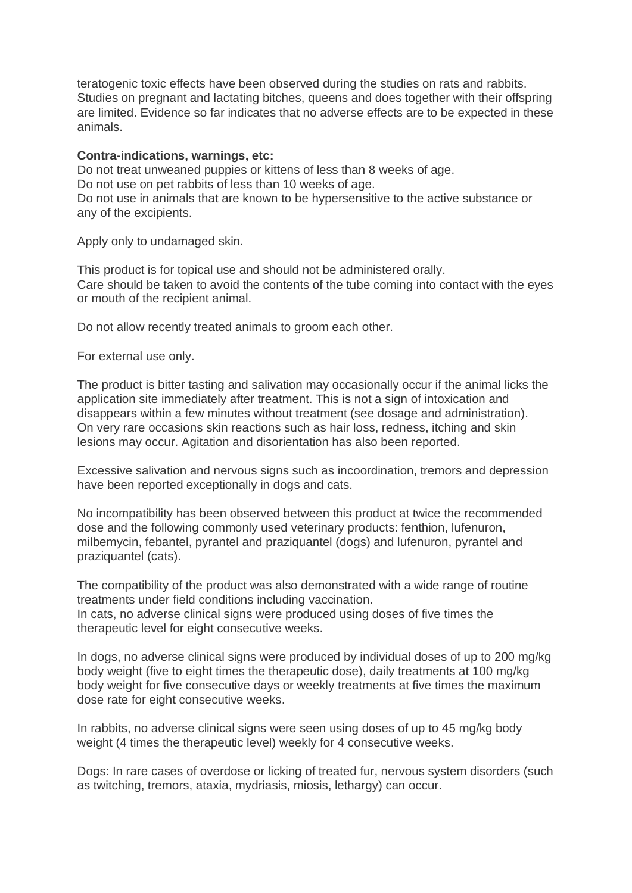teratogenic toxic effects have been observed during the studies on rats and rabbits. Studies on pregnant and lactating bitches, queens and does together with their offspring are limited. Evidence so far indicates that no adverse effects are to be expected in these animals.

#### **Contra-indications, warnings, etc:**

Do not treat unweaned puppies or kittens of less than 8 weeks of age. Do not use on pet rabbits of less than 10 weeks of age. Do not use in animals that are known to be hypersensitive to the active substance or any of the excipients.

Apply only to undamaged skin.

This product is for topical use and should not be administered orally. Care should be taken to avoid the contents of the tube coming into contact with the eyes or mouth of the recipient animal.

Do not allow recently treated animals to groom each other.

For external use only.

The product is bitter tasting and salivation may occasionally occur if the animal licks the application site immediately after treatment. This is not a sign of intoxication and disappears within a few minutes without treatment (see dosage and administration). On very rare occasions skin reactions such as hair loss, redness, itching and skin lesions may occur. Agitation and disorientation has also been reported.

Excessive salivation and nervous signs such as incoordination, tremors and depression have been reported exceptionally in dogs and cats.

No incompatibility has been observed between this product at twice the recommended dose and the following commonly used veterinary products: fenthion, lufenuron, milbemycin, febantel, pyrantel and praziquantel (dogs) and lufenuron, pyrantel and praziquantel (cats).

The compatibility of the product was also demonstrated with a wide range of routine treatments under field conditions including vaccination. In cats, no adverse clinical signs were produced using doses of five times the therapeutic level for eight consecutive weeks.

In dogs, no adverse clinical signs were produced by individual doses of up to 200 mg/kg body weight (five to eight times the therapeutic dose), daily treatments at 100 mg/kg body weight for five consecutive days or weekly treatments at five times the maximum dose rate for eight consecutive weeks.

In rabbits, no adverse clinical signs were seen using doses of up to 45 mg/kg body weight (4 times the therapeutic level) weekly for 4 consecutive weeks.

Dogs: In rare cases of overdose or licking of treated fur, nervous system disorders (such as twitching, tremors, ataxia, mydriasis, miosis, lethargy) can occur.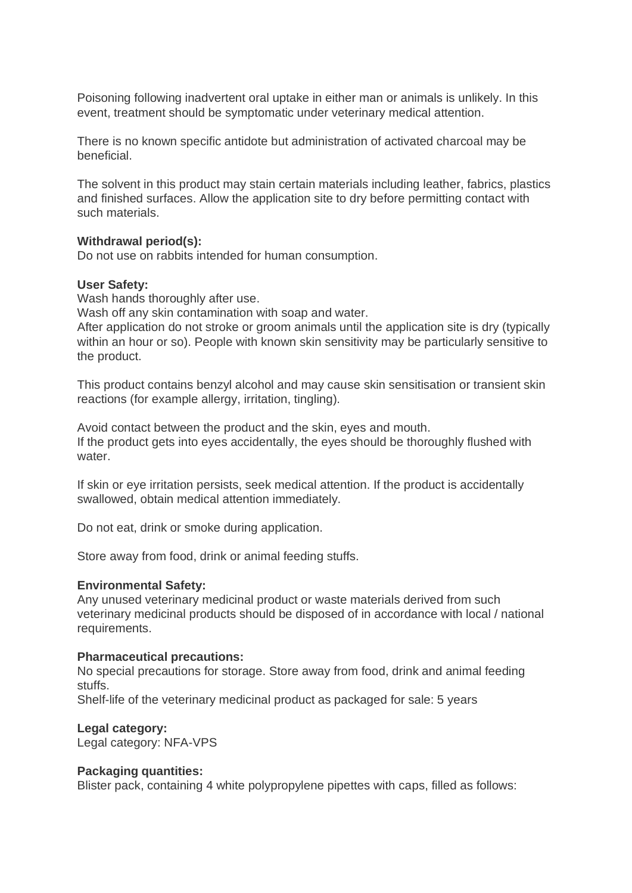Poisoning following inadvertent oral uptake in either man or animals is unlikely. In this event, treatment should be symptomatic under veterinary medical attention.

There is no known specific antidote but administration of activated charcoal may be beneficial.

The solvent in this product may stain certain materials including leather, fabrics, plastics and finished surfaces. Allow the application site to dry before permitting contact with such materials.

#### **Withdrawal period(s):**

Do not use on rabbits intended for human consumption.

#### **User Safety:**

Wash hands thoroughly after use.

Wash off any skin contamination with soap and water.

After application do not stroke or groom animals until the application site is dry (typically within an hour or so). People with known skin sensitivity may be particularly sensitive to the product.

This product contains benzyl alcohol and may cause skin sensitisation or transient skin reactions (for example allergy, irritation, tingling).

Avoid contact between the product and the skin, eyes and mouth. If the product gets into eyes accidentally, the eyes should be thoroughly flushed with water.

If skin or eye irritation persists, seek medical attention. If the product is accidentally swallowed, obtain medical attention immediately.

Do not eat, drink or smoke during application.

Store away from food, drink or animal feeding stuffs.

## **Environmental Safety:**

Any unused veterinary medicinal product or waste materials derived from such veterinary medicinal products should be disposed of in accordance with local / national requirements.

## **Pharmaceutical precautions:**

No special precautions for storage. Store away from food, drink and animal feeding stuffs.

Shelf-life of the veterinary medicinal product as packaged for sale: 5 years

## **Legal category:**

Legal category: NFA-VPS

#### **Packaging quantities:**

Blister pack, containing 4 white polypropylene pipettes with caps, filled as follows: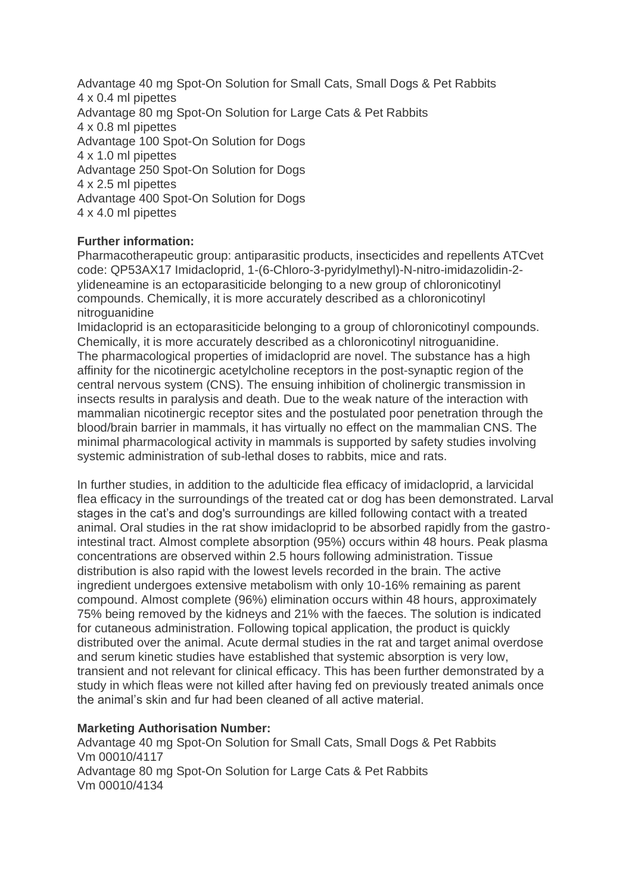Advantage 40 mg Spot-On Solution for Small Cats, Small Dogs & Pet Rabbits 4 x 0.4 ml pipettes Advantage 80 mg Spot-On Solution for Large Cats & Pet Rabbits 4 x 0.8 ml pipettes Advantage 100 Spot-On Solution for Dogs 4 x 1.0 ml pipettes Advantage 250 Spot-On Solution for Dogs 4 x 2.5 ml pipettes Advantage 400 Spot-On Solution for Dogs 4 x 4.0 ml pipettes

# **Further information:**

Pharmacotherapeutic group: antiparasitic products, insecticides and repellents ATCvet code: QP53AX17 Imidacloprid, 1-(6-Chloro-3-pyridylmethyl)-N-nitro-imidazolidin-2 ylideneamine is an ectoparasiticide belonging to a new group of chloronicotinyl compounds. Chemically, it is more accurately described as a chloronicotinyl nitroguanidine

Imidacloprid is an ectoparasiticide belonging to a group of chloronicotinyl compounds. Chemically, it is more accurately described as a chloronicotinyl nitroguanidine. The pharmacological properties of imidacloprid are novel. The substance has a high affinity for the nicotinergic acetylcholine receptors in the post-synaptic region of the central nervous system (CNS). The ensuing inhibition of cholinergic transmission in insects results in paralysis and death. Due to the weak nature of the interaction with mammalian nicotinergic receptor sites and the postulated poor penetration through the blood/brain barrier in mammals, it has virtually no effect on the mammalian CNS. The minimal pharmacological activity in mammals is supported by safety studies involving systemic administration of sub-lethal doses to rabbits, mice and rats.

In further studies, in addition to the adulticide flea efficacy of imidacloprid, a larvicidal flea efficacy in the surroundings of the treated cat or dog has been demonstrated. Larval stages in the cat's and dog's surroundings are killed following contact with a treated animal. Oral studies in the rat show imidacloprid to be absorbed rapidly from the gastrointestinal tract. Almost complete absorption (95%) occurs within 48 hours. Peak plasma concentrations are observed within 2.5 hours following administration. Tissue distribution is also rapid with the lowest levels recorded in the brain. The active ingredient undergoes extensive metabolism with only 10-16% remaining as parent compound. Almost complete (96%) elimination occurs within 48 hours, approximately 75% being removed by the kidneys and 21% with the faeces. The solution is indicated for cutaneous administration. Following topical application, the product is quickly distributed over the animal. Acute dermal studies in the rat and target animal overdose and serum kinetic studies have established that systemic absorption is very low, transient and not relevant for clinical efficacy. This has been further demonstrated by a study in which fleas were not killed after having fed on previously treated animals once the animal's skin and fur had been cleaned of all active material.

# **Marketing Authorisation Number:**

Advantage 40 mg Spot-On Solution for Small Cats, Small Dogs & Pet Rabbits Vm 00010/4117 Advantage 80 mg Spot-On Solution for Large Cats & Pet Rabbits Vm 00010/4134